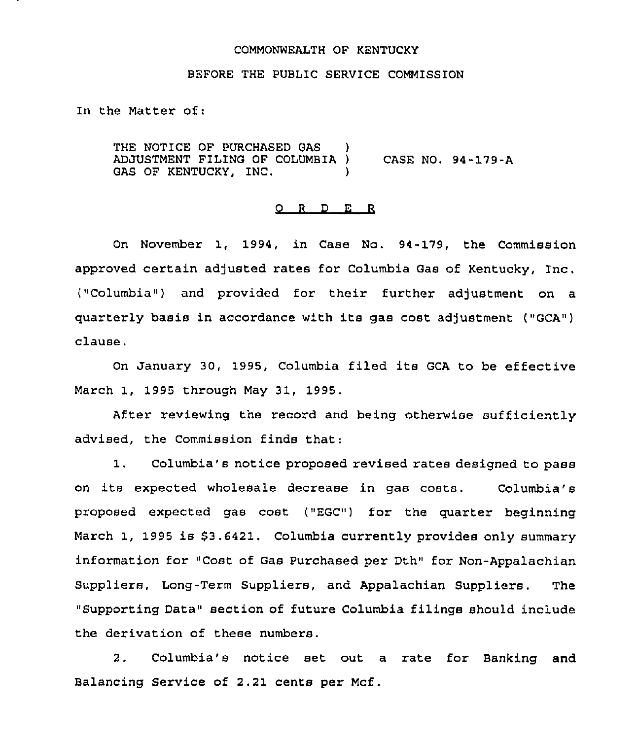#### COMMONWEALTH OF KENTUCKY

#### BEFORE THE PUBLIC SERVICE COMMISSION

In the Matter of:

THE NOTICE OF PURCHASED GAS ) ADJUSTMENT FILING OF COLUMBIA ) CASE NO. 94-179-A GAS OF KENTUCKY, INC.

#### 0 <sup>R</sup> <sup>D</sup> E R

On November 1, 1994, in Case No. 94-179, the Commission approved certain adjusted rates for Columbia Gas of Kentucky, Inc. ("Columbia") and provided for their further adjustment on a quarterly basis in accordance with its gas cost adjustment ("GCA") clause.

On January 30, 1995, Columbia filed its GCA to be effective March 1, 1995 through May 31, 1995.

After reviewing the record and being otherwise sufficiently advised, the Commission finds that:

1. Columbia's notice proposed revised rates designed to pass on its expected wholesale decrease in gas costs. Columbia'8 proposed expected gas cost (~EGC") for the quarter beginning March 1, 1995 is \$3.6421. Columbia currently provides only summary information for "Cost of Gas Purchased per Dth" for Non-Appalachian Suppliers, Long-Term Suppliers, and Appalachian Suppliers. The "Supporting Data" section of future Columbia filings should include the derivation of these numbers.

2. Columbia's notice set out a rate for Banking and Balancing Service of 2.21 cents per Mcf.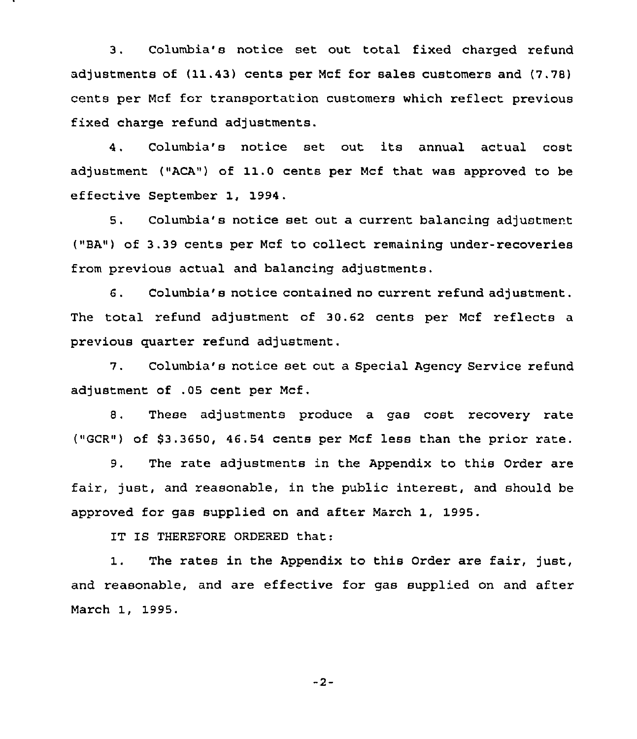3. Columbia's notice set out total fixed charged refund adjustments of (11.43) cents per Mcf for sales customers and (7.78) cents per Mcf for transportation customers which reflect previous fixed charge refund adjustments.

4. Columbia's notice set out its annual actual cost adjustment ("ACA") of 11.0 cents per Mcf that was approved to be effective September 1, 1994.

5. Columbia's notice set out a current balancing adjustment ("BA") of 3.39 cents per Ncf to collect remaining under-recoveries from previous actual and balancing adjustments.

6. Columbia's notice contained no current refund adjustment. The total refund adjustment of 30.62 cents per Ncf reflects a previous quarter refund adjustment.

7. Columbia's notice set out a Special Agency Service refund adjustment of .05 cent per Ncf .

8. These adjustments produce a gas cost recovery rate ("GCR") of \$3.3650, 46.54 cents per Ncf less than the prior rate.

9. The rate adjustments in the Appendix to this Order are fair, just, and reasonable, in the public interest, and should be approved for gas supplied on and after March 1, 1995.

IT IS THEREFORE ORDERED that:

1. The rates in the Appendix to this Order are fair, just, and reasonable, and are effective for gas supplied on and after March 1, 1995.

 $-2-$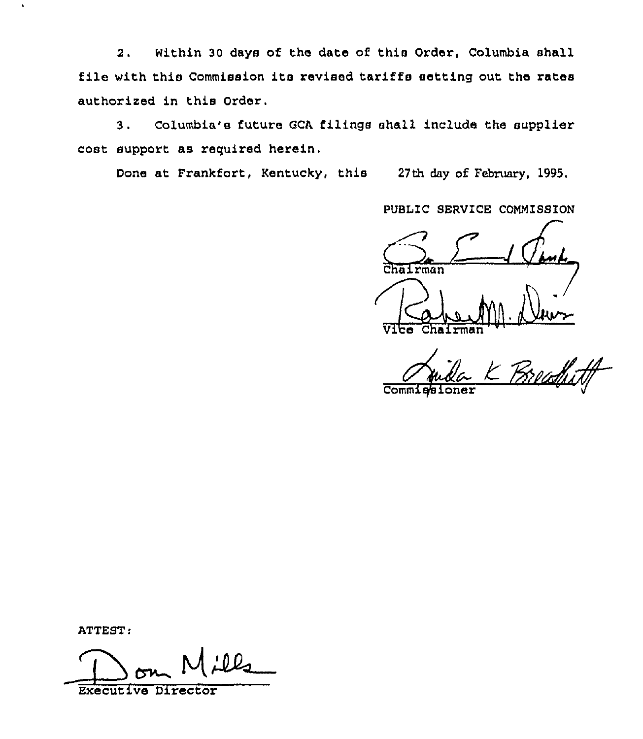2. Within 30 days of the date of this Order, Columbia shall file with this Commission its revised tariffs setting out the rates authorized in this Order.

3. Columbia's future GCA filings shall include the supplier cost support as required herein.

Done at Frankfort, Kentucky, this 27th day of February, 1995.

PUBLIC SERVICE COMMISSION  $V$ ibe Chairm

K Breadfull **Comm1** 

ATTEST:

Executive Director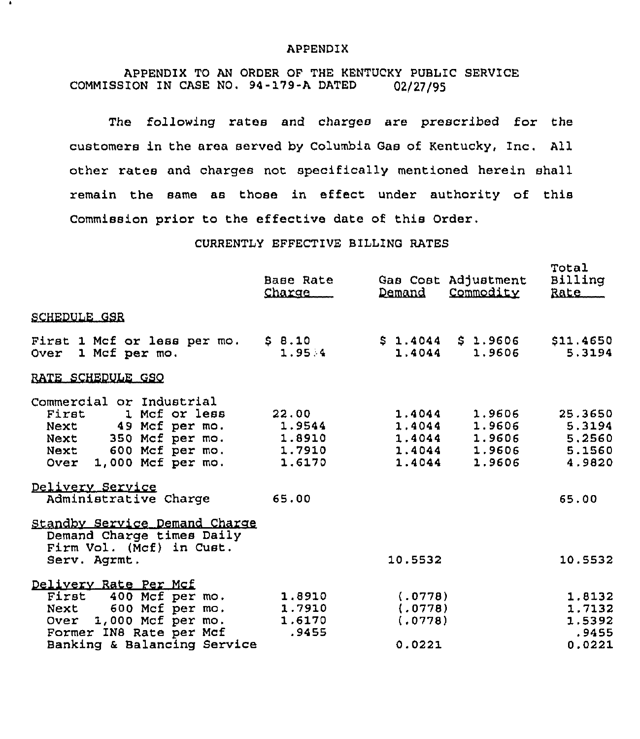### APPENDIX

# APPENDIX TO AN ORDER OF THE KENTUCKY PUBLIC SERVICE COMMISSION IN CASE NO. 94-179-A DATED 02/27/95

The following rates and charges are prescribed for the customers in the area served by Columbia Gas of Kentucky, Inc. All other rates and charges not specifically mentioned herein shall remain the same as those in effect under authority of this Commission prior to the effective date of this Order.

## CURRENTLY EFFECTIVE BILLING RATES

|                                                                                                                                                               | Base Rate<br>Charge                           | Demand                                  | Gas Cost Adjustment<br>Commodity                                                  | Total<br>Billing<br>Rate                      |
|---------------------------------------------------------------------------------------------------------------------------------------------------------------|-----------------------------------------------|-----------------------------------------|-----------------------------------------------------------------------------------|-----------------------------------------------|
| <b>SCHEDULE GSR</b>                                                                                                                                           |                                               |                                         |                                                                                   |                                               |
| First 1 Mcf or less per mo. \$8.10<br>Over 1 Mcf per mo.                                                                                                      | 1.95.4                                        |                                         | $$1.4044$ \$ 1.9606 \$11.4650<br>$1.4044$ 1.9606                                  | 5.3194                                        |
| RATE SCHEDULE GSO                                                                                                                                             |                                               |                                         |                                                                                   |                                               |
| Commercial or Industrial<br>First 1 Mcf or less<br>Next 49 Mcf per mo.<br>Next 350 Mcf per mo.<br>Next 600 Mcf per mo.<br>Over 1,000 Mcf per mo.              | 22.00<br>1.9544<br>1.8910<br>1.7910<br>1.6170 | 1.4044<br>1.4044                        | 1.9606<br>1.4044 1.9606<br>1.4044 1.9606 5.2560<br>1.4044 1.9606 5.1560<br>1.9606 | 25.3650<br>5.3194<br>4.9820                   |
| Delivery Service<br>Administrative Charge                                                                                                                     | 65.00                                         |                                         |                                                                                   | 65.00                                         |
| Standby Service Demand Charge<br>Demand Charge times Daily<br>Firm Vol. (Mcf) in Cust.<br>Serv. Agrmt.                                                        |                                               | 10.5532                                 |                                                                                   | 10.5532                                       |
| Delivery Rate Per Mcf<br>First 400 Mcf per mo.<br>600 Mcf per mo.<br>Next<br>Over 1,000 Mcf per mo.<br>Former IN8 Rate per Mcf<br>Banking & Balancing Service | 1.8910<br>1.7910<br>1.6170<br>.9455           | (.0778)<br>(.0778)<br>(.0778)<br>0.0221 |                                                                                   | 1.8132<br>1.7132<br>1.5392<br>.9455<br>0.0221 |